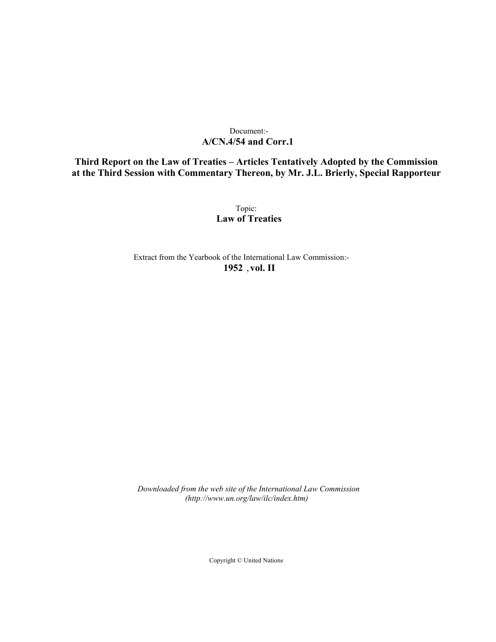# Document:- **A/CN.4/54 and Corr.1**

**Third Report on the Law of Treaties – Articles Tentatively Adopted by the Commission at the Third Session with Commentary Thereon, by Mr. J.L. Brierly, Special Rapporteur**

> Topic: **Law of Treaties**

Extract from the Yearbook of the International Law Commission:- **1952** ,**vol. II**

*Downloaded from the web site of the International Law Commission (http://www.un.org/law/ilc/index.htm)*

Copyright © United Nations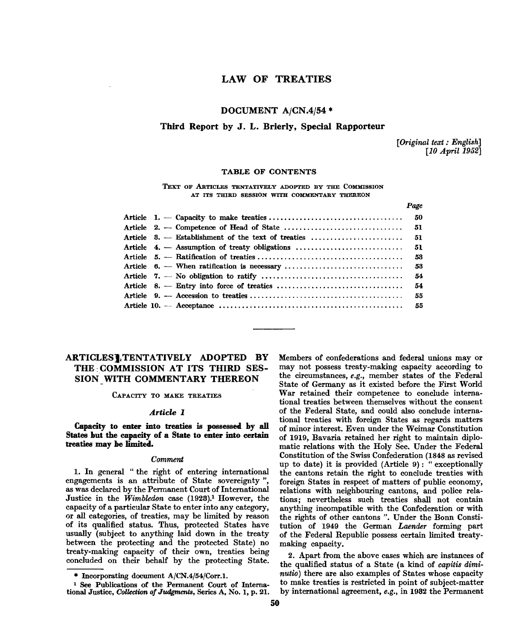# **LAW OF TREATIES**

# **DOCUMENT A/CN.4/54 \***

# **Third Report by J. L. Brierly, Special Rapporteur**

*[Original text: English] [10 April 1952]*

*Page*

# **TABLE OF CONTENTS**

TEXT OF ARTICLES TENTATIVELY ADOPTED BY THE COMMISSION AT ITS THIRD SESSION WITH COMMENTARY THEREON

|                                                      | л икс |
|------------------------------------------------------|-------|
|                                                      | -50   |
|                                                      |       |
| Article $3.$ - Establishment of the text of treaties | 51    |
| Article 4. — Assumption of treaty obligations        | 51    |
|                                                      | 53    |
| Article $\theta$ . — When ratification is necessary  | 53    |
|                                                      | 54    |
|                                                      | 54    |
|                                                      | 55    |
|                                                      |       |
|                                                      |       |

# **ARTICLESJaTENTATIVELY ADOPTED BY THE COMMISSION AT ITS THIRD SES-SION WITH COMMENTARY THEREON**

**CAPACITY TO MAKE TREATIES**

## *Article 1*

**Capacity to enter into treaties is possessed by all States but the capacity of a State to enter into certain treaties may be limited.**

## *Comment*

1. In general " the right of entering international engagements is an attribute of State sovereignty ", as was declared by the Permanent Court of International Justice in the *Wimbledon* case (1923).<sup>1</sup> However, the capacity of a particular State to enter into any category, or all categories, of treaties, may be limited by reason of its qualified status. Thus, protected States have usually (subject to anything laid down in the treaty between the protecting and the protected State) no treaty-making capacity of their own, treaties being concluded on their behalf by the protecting State.

Members of confederations and federal unions may or may not possess treaty-making capacity according to the circumstances, *e.g.,* member states of the Federal State of Germany as it existed before the First World War retained their competence to conclude international treaties between themselves without the consent of the Federal State, and could also conclude international treaties with foreign States as regards matters of minor interest. Even under the Weimar Constitution of 1919, Bavaria retained her right to maintain diplomatic relations with the Holy See. Under the Federal Constitution of the Swiss Confederation (1848 as revised up to date) it is provided (Article 9): " exceptionally the cantons retain the right to conclude treaties with foreign States in respect of matters of public economy, relations with neighbouring cantons, and police relations; nevertheless such treaties shall not contain anything incompatible with the Confederation or with the rights of other cantons ". Under the Bonn Constitution of 1949 the German *Laender* forming part of the Federal Republic possess certain limited treatymaking capacity.

2. Apart from the above cases which are instances of the qualified status of a State (a kind of *capitis diminutio)* there are also examples of States whose capacity to make treaties is restricted in point of subject-matter by international agreement, *e.g.,* in 1982 the Permanent

<sup>•</sup> Incorporating document A/CN.4/54/Corr.l.

<sup>&</sup>lt;sup>1</sup> See Publications of the Permanent Court of International Justice, *Collection of Judgments,* Series A, No. 1, p. 21.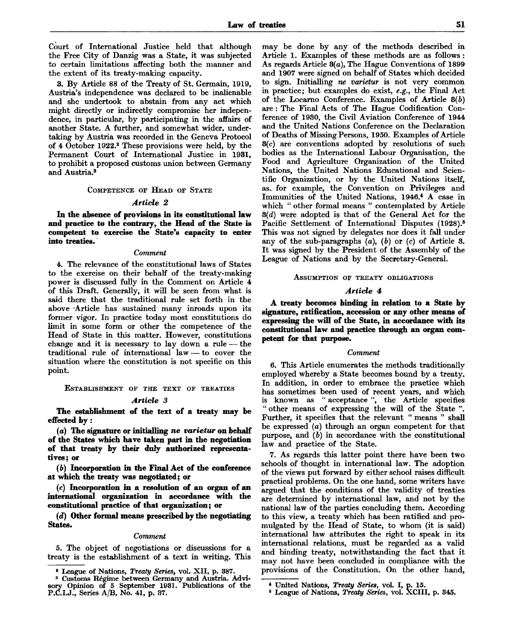Court of International Justice held that although the Free City of Danzig was a State, it was subjected to certain limitations affecting both the manner and the extent of its treaty-making capacity.

3. By Article 88 of the Treaty of St. Germain, 1919, Austria's independence was declared to be inalienable and she undertook to abstain from any act which might directly or indirectly compromise her independence, in particular, by participating in the affairs of another State. A further, and somewhat wider, undertaking by Austria was recorded in the Geneva Protocol of 4 October 1922.<sup>2</sup> These provisions were held, by the Permanent Court of International Justice in 1931, to prohibit a proposed customs union between Germany and Austria.<sup>3</sup>

## COMPETENCE OF HEAD OF STATE

# *Article 2*

**In the absence of provisions in its constitutional law and practice to the contrary, the Head of the State is competent to exercise the State's capacity to enter into treaties.**

#### *Comment*

4. The relevance of the constitutional laws of States to the exercise on their behalf of the treaty-making power is discussed fully in the Comment on Article 4 of this Draft. Generally, it will be seen from what is said there that the traditional rule set forth in the above Article has sustained many inroads upon its former vigor. In practice today most constitutions do limit in some form or other the competence of the Head of State in this matter. However, constitutions change and it is necessary to lay down a rule  $-$  the traditional rule of international law — to cover the situation where the constitution is not specific on this point.

# ESTABLISHMENT OF THE TEXT OF TREATIES *Article 3*

**The establishment of the text of a treaty may be effected by:**

**(a) The signature or initialling** *ne varietur* **on behalf of the States which have taken part in the negotiation of that treaty by their duly authorized representatives; or**

**(6) Incorporation in the Final Act of the conference at which the treaty was negotiated; or**

**(c) Incorporation in a resolution of an organ of an international organization in accordance with the constitutional practice of that organization; or**

*(d)* **Other formal means prescribed by the negotiating States.**

### *Comment*

5. The object of negotiations or discussions for a treaty is the establishment of a text in writing. This may be done by any of the methods described in Article 1. Examples of these methods are as follows : As regards Article 3(a), The Hague Conventions of 1899 and 1907 were signed on behalf of States which decided to sign. Initialling *ne varietur* is not very common in practice; but examples do exist, *e.g.,* the Final Act of the Locarno Conference. Examples of Article *3(b)* are : The Final Acts of The Hague Codification Conference of 1930, the Civil Aviation Conference of 1944 and the United Nations Conference on the Declaration of Deaths of Missing Persons, 1950. Examples of Article  $3(c)$  are conventions adopted by resolutions of such bodies as the International Labour Organisation, the Food and Agriculture Organization of the United Nations, the United Nations Educational and Scientific Organization, or by the United Nations itself, as. for example, the Convention on Privileges and Immunities of the United Nations, 1946.\* A case in which " other formal means " contemplated by Article *S(d)* were adopted is that of the General Act for the Pacific Settlement of International Disputes (1928).<sup>5</sup> This was not signed by delegates nor does it fall under any of the sub-paragraphs (a), *(b)* or (c) of Article 3. It was signed by the President of the Assembly of the League of Nations and by the Secretary-General.

# ASSUMPTION OF TREATY OBLIGATIONS

## *Article 4*

**A treaty becomes binding in relation to a State by signature, ratification, accession or any other means of expressing the will of the State, in accordance with its constitutional law and practice through an organ competent for that purpose.**

#### *Comment*

6. This Article enumerates the methods traditionally employed whereby a State becomes bound by a treaty. In addition, in order to embrace the practice which has sometimes been used of recent years, and which is known as " acceptance ", the Article specifies " other means of expressing the will of the State ". Further, it specifies that the relevant " means " shall be expressed *(a)* through an organ competent for that purpose, and *(b)* in accordance with the constitutional law and practice of the State.

7. As regards this latter point there have been two schools of thought in international law. The adoption of the views put forward by either school raises difficult practical problems. On the one hand, some writers have argued that the conditions of the validity of treaties are determined by international law, and not by the national law of the parties concluding them. According to this view, a treaty which has been ratified and promulgated by the Head of State, to whom (it is said) international law attributes the right to speak in its international relations, must be regarded as a valid and binding treaty, notwithstanding the fact that it may not have been concluded in compliance with the provisions of the Constitution. On the other hand,

<sup>2</sup> League of Nations, *Treaty Series,* vol. XII, p. 387.

<sup>&</sup>lt;sup>2</sup> League of Nations, 17etig Beries, Vol. 2111, p. 661.<br><sup>3</sup> Customs Régime between Germany and Austria. Advisory Opinion of 5 September 1931. Publications of the P.C.I.J., Series A/B, No. 41, p. 37.

<sup>\*</sup> United Nations, *Treaty Series,* vol. I, p. 15.

<sup>8</sup> League of Nations, *Treaty Series,* vol. XCIII, p. 345.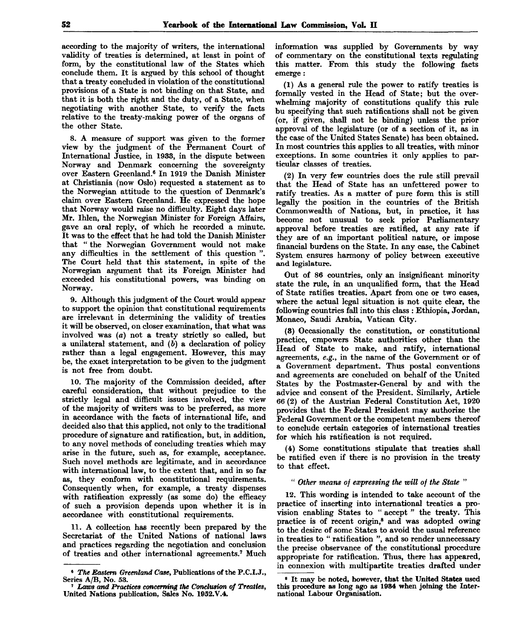according to the majority of writers, the international validity of treaties is determined, at least in point of form, by the constitutional law of the States which conclude them. It is argued by this school of thought that a treaty concluded in violation of the constitutional provisions of a State is not binding on that State, and that it is both the right and the duty, of a State, when negotiating with another State, to verify the facts relative to the treaty-making power of the organs of the other State.

8. A measure of support was given to the former view by the judgment of the Permanent Court of International Justice, in 1933, in the dispute between Norway and Denmark concerning the sovereignty over Eastern Greenland.<sup>6</sup> In 1919 the Danish Minister at Christiania (now Oslo) requested a statement as to the Norwegian attitude to the question of Denmark's claim over Eastern Greenland. He expressed the hope that Norway would raise no difficulty. Eight days later Mr. Ihlen, the Norwegian Minister for Foreign Affairs, gave an oral reply, of which he recorded a minute. It was to the effect that he had told the Danish Minister that " the Norwegian Government would not make any difficulties in the settlement of this question ". The Court held that this statement, in spite of the Norwegian argument that its Foreign Minister had exceeded his constitutional powers, was binding on Norway.

9. Although this judgment of the Court would appear to support the opinion that constitutional requirements are irrelevant in determining the validity of treaties it will be observed, on closer examination, that what was involved was (a) not a treaty strictly so called, but a unilateral statement, and *(b)* a declaration of policy rather than a legal engagement. However, this may be, the exact interpretation to be given to the judgment is not free from doubt.

10. The majority of the Commission decided, after careful consideration, that without prejudice to the strictly legal and difficult issues involved, the view of the majority of writers was to be preferred, as more in accordance with the facts of international life, and decided also that this applied, not only to the traditional procedure of signature and ratification, but, in addition, to any novel methods of concluding treaties which may arise in the future, such as, for example, acceptance. Such novel methods are legitimate, and in accordance with international law, to the extent that, and in so far as, they conform with constitutional requirements. Consequently when, for example, a treaty dispenses with ratification expressly (as some do) the efficacy of such a provision depends upon whether it is in accordance with constitutional requirements.

11. A collection has recently been prepared by the Secretariat of the United Nations of national laws and practices regarding the negotiation and conclusion of treaties and other international agreements.<sup>7</sup> Much

information was supplied by Governments by way of commentary on the constitutional texts regulating this matter. From this study the following facts emerge :

(1) As a general rule the power to ratify treaties is formally vested in the Head of State; but the overwhelming majority of constitutions qualify this rule bu specifying that such ratifications shall not be given (or, if given, shall not be binding) unless the prior approval of the legislature (or of a section of it, as in the case of the United States Senate) has been obtained. In most countries this applies to all treaties, with minor exceptions. In some countries it only applies to particular classes of treaties.

(2) In very few countries does the rule still prevail that the Head of State has an unfettered power to ratify treaties. As a matter of pure form this is still legally the position in the countries of the British Commonwealth of Nations, but, in practice, it has become not unusual to seek prior Parliamentary approval before treaties are ratified, at any rate if they are of an important political nature, or impose financial burdens on the State. In any case, the Cabinet System ensures harmony of policy between executive and legislature.

Out of 86 countries, only an insignificant minority state the rule, in an unqualified form, that the Head of State ratifies treaties. Apart from one or two cases, where the actual legal situation is not quite clear, the following countries fall into this class : Ethiopia, Jordan, Monaco, Saudi Arabia, Vatican City.

(8) Occasionally the constitution, or constitutional practice, empowers State authorities other than the Head of State to make, and ratify, international agreements, *e.g.,* in the name of the Government or of a Government department. Thus postal conventions and agreements are concluded on behalf of the United States by the Postmaster-General by and with the advice and consent of the President. Similarly, Article 66 (2) of the Austrian Federal Constitution Act, 1920 provides that the Federal President may authorize the Federal Government or the competent members thereof to conclude certain categories of international treaties for which his ratification is not required.

(4) Some constitutions stipulate that treaties shall be ratified even if there is no provision in the treaty to that effect.

# " *Other means of expressing the will of the State* "

12. This wording is intended to take account of the practice of inserting into international treaties a provision enabling States to " accept " the treaty. This practice is of recent origin,<sup>8</sup> and was adopted owing to the desire of some States to avoid the usual reference in treaties to " ratification ", and so render unnecessary the precise observance of the constitutional procedure appropriate for ratification. Thus, there has appeared, in connexion with multipartite treaties drafted under

<sup>&</sup>lt;sup>6</sup> The Eastern Greenland Case, Publications of the P.C.I.J.,  $\overline{a}$ Series A/B, No. 53.

*Laws and Practices concerning the Conclusion of Treaties,* United Nations publication, Sales No. 1952.V.4.

<sup>8</sup> It may be noted, however, that the United States used this procedure as long ago as 1984 when joining the International Labour Organisation.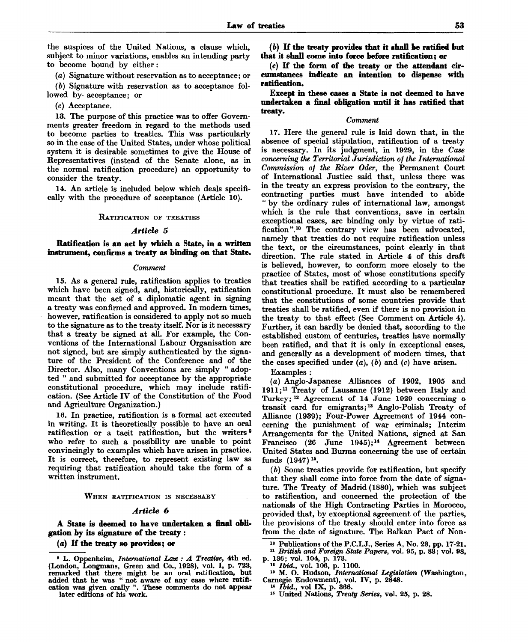the auspices of the United Nations, a clause which, subject to minor variations, enables an intending party to become bound by either:

*(a)* Signature without reservation as to acceptance; or

*(b)* Signature with reservation as to acceptance followed by- acceptance; or

(c) Acceptance.

13. The purpose of this practice was to offer Governments greater freedom in regard to the methods used to become parties to treaties. This was particularly so in the case of the United States, under whose political system it is desirable sometimes to give the House of Representatives (instead of the Senate alone, as in the normal ratification procedure) an opportunity to consider the treaty.

14. An article is included below which deals specifically with the procedure of acceptance (Article 10).

# RATIFICATION OF TREATIES

### *Article 5*

# **Ratification is an act by which a State, in a written instrument, confirms a treaty as binding on that State.**

## *Comment*

15. As a general rule, ratification applies to treaties which have been signed, and, historically, ratification meant that the act of a diplomatic agent in signing a treaty was confirmed and approved. In modern times, however, ratification is considered to apply not so much to the signature as to the treaty itself. Nor is it necessary that a treaty be signed at all. For example, the Conventions of the International Labour Organisation are not signed, but are simply authenticated by the signature of the President of the Conference and of the Director. Also, many Conventions are simply " adopted " and submitted for acceptance by the appropriate constitutional procedure, which may include ratification. (See Article IV of the Constitution of the Food and Agriculture Organization.)

16. In practice, ratification is a formal act executed in writing. It is theoretically possible to have an oral ratification or a tacit ratification, but the writers<sup>9</sup> who refer to such a possibility are unable to point convincingly to examples which have arisen in practice. It is correct, therefore, to represent existing law as requiring that ratification should take the form of a written instrument.

#### WHEN RATIFICATION IS NECESSARY

## *Article 6*

**A State is deemed to have undertaken a final obligation by its signature of the treaty :**

## **(a) If the treaty so provides; or**

later editions of his work.

*(b)* **If the treaty provides that it shall be ratified but that it shall come into force before ratification; or**

**(e) If the form of the treaty or the attendant circumstances indicate an intention to dispense with ratification.**

**Except in these cases a State is not deemed to have undertaken a final obligation until it has ratified that treaty.**

# *Comment*

17. Here the general rule is laid down that, in the absence of special stipulation, ratification of a treaty is necessary. In its judgment, in 1929, in the *Case concerning the Territorial Jurisdiction of the International Commission of the River Oder,* the Permanent Court of International Justice said that, unless there was in the treaty an express provision to the contrary, the contracting parties must have intended to abide " by the ordinary rules of international law, amongst which is the rule that conventions, save in certain exceptional cases, are binding only by virtue of ratification".<sup>10</sup> The contrary view has been advocated, namely that treaties do not require ratification unless the text, or the circumstances, point clearly in that direction. The rule stated in Article 4 of this draft is believed, however, to conform more closely to the practice of States, most of whose constitutions specify that treaties shall be ratified according to a particular constitutional procedure. It must also be remembered that the constitutions of some countries provide that treaties shall be ratified, even if there is no provision in the treaty to that effect (See Comment on Article 4). Further, it can hardly be denied that, according to the established custom of centuries, treaties have normally been ratified, and that it is only in exceptional cases, and generally as a development of modern times, that the cases specified under (a), *(b)* and *(c)* have arisen.

Examples :

*(a)* Anglo-Japanese Alliances of 1902, 1905 and 1911;<sup>11</sup> Treaty of Lausanne (1912) between Italy and Turkey;<sup>12</sup> Agreement of 14 June 1929 concerning a transit card for emigrants;<sup>13</sup> Anglo-Polish Treaty of Alliance (1939); Four-Power Agreement of 1944 concerning the punishment of war criminals; Interim Arrangements for the United Nations, signed at San Francisco (26 June 1945);<sup>14</sup> Agreement between United States and Burma concerning the use of certain funds (1947)<sup>15</sup>.

*(b)* Some treaties provide for ratification, but specify that they shall come into force from the date of signature. The Treaty of Madrid (1880), which was subject to ratification, and concerned the protection of the nationals of the High Contracting Parties in Morocco, provided that, by exceptional agreement of the parties, the provisions of the treaty should enter into force as from the date of signature. The Balkan Pact of Non-

<sup>•</sup> L. Oppenheim, *International Law : A Treatise,* 4th ed. (London, Longmans, Green and Co., 1928), vol. I, p. 723, remarked that there might be an oral ratification, but added that he was " not aware of any case where ratification was given orally ". These comments do not appear

<sup>&</sup>lt;sup>10</sup> Publications of the P.C.I.J., Series A, No. 28, pp. 17-21. 11  *British and Foreign State Papers,* vol. 95, p. 83; vol. 98,

p. 136; vol. 104, p. 173.

u  *Ibid.,* vol. 106, p. 1100. 13 M. O. Hudson, *International Legislation* (Washington,

Carnegie Endowment), vol. IV, p. 2848. M  *Ibid.,* vol IX, p. 366. 15 United Nations, *Treaty Series,* vol. 25, p. 28.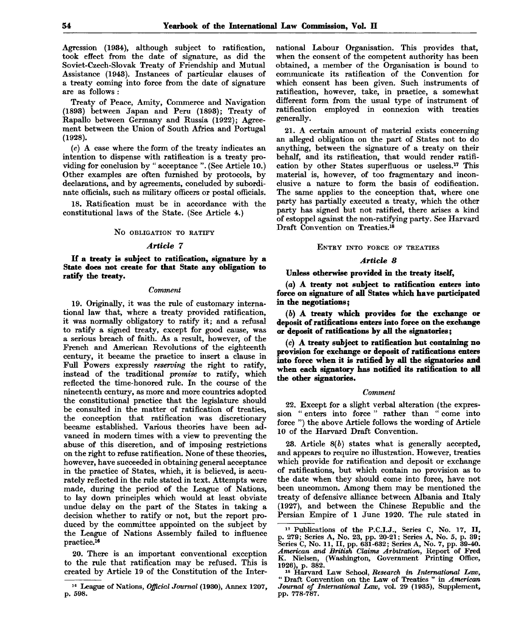Agression (1934), although subject to ratification, took effect from the date of signature, as did the Soviet-Czech-Slovak Treaty of Friendship and Mutual Assistance (1943). Instances of particular clauses of a treaty coming into force from the date of signature are as follows :

Treaty of Peace, Amity, Commerce and Navigation (1893) between Japan and Peru (1893); Treaty of Rapallo between Germany and Russia (1922); Agreement between the Union of South Africa and Portugal (1928).

(c) A case where the form of the treaty indicates an intention to dispense with ratification is a treaty providing for conclusion by " acceptance ". (See Article 10.) Other examples are often furnished by protocols, by declarations, and by agreements, concluded by subordinate officials, such as military officers or postal officials.

18. Ratification must be in accordance with the constitutional laws of the State. (See Article 4.)

## NO OBLIGATION TO RATIFY

## *Article 7*

**If a treaty is subject to ratification, signature by a State does not create for that State any obligation to ratify the treaty.**

#### *Comment*

19. Originally, it was the rule of customary international law that, where a treaty provided ratification, it was normally obligatory to ratify it; and a refusal to ratify a signed treaty, except for good cause, was a serious breach of faith. As a result, however, of the French and American Revolutions of the eighteenth century, it became the practice to insert a clause in Full Powers expressly *reserving* the right to ratify, instead of the traditional *promise* to ratify, which reflected the time-honored rule. In the course of the nineteenth century, as more and more countries adopted the constitutional practice that the legislature should be consulted in the matter of ratification of treaties, the conception that ratification was discretionary became established. Various theories have been advanced in modern times with a view to preventing the abuse of this discretion, and of imposing restrictions on the right to refuse ratification. None of these theories, however, have succeeded in obtaining general acceptance in the practice of States, which, it is believed, is accurately reflected in the rule stated in text. Attempts were made, during the period of the League of Nations, to lay down principles which would at least obviate undue delay on the part of the States in taking a decision whether to ratify or not, but the report produced by the committee appointed on the subject by the League of Nations Assembly failed to influence practice.<sup>16</sup>

20. There is an important conventional exception to the rule that ratification may be refused. This is created by Article 19 of the Constitution of the International Labour Organisation. This provides that, when the consent of the competent authority has been obtained, a member of the Organisation is bound to communicate its ratification of the Convention for which consent has been given. Such instruments of ratification, however, take, in practice, a somewhat different form from the usual type of instrument of ratification employed in connexion with treaties generally.

21. A certain amount of material exists concerning an alleged obligation on the part of States not to do anything, between the signature of a treaty on their behalf, and its ratification, that would render ratification by other States superfluous or useless.<sup>17</sup> This material is, however, of too fragmentary and inconclusive a nature to form the basis of codification. The same applies to the conception that, where one party has partially executed a treaty, which the other party has signed but not ratified, there arises a kind of estoppel against the non-ratifying party. See Harvard Draft Convention on Treaties.<sup>18</sup>

#### ENTRY INTO FORCE OF TREATIES

#### *Article 8*

# **Unless otherwise provided in the treaty itself,**

**(a) A treaty not subject to ratification enters into force on signature of all States which have participated in the negotiations;**

**(6) A treaty which provides for the exchange or deposit of ratifications enters into force on the exchange or deposit of ratifications by all the signatories;**

**(c) A treaty subject to ratification but containing no provision for exchange or deposit of ratifications enters into force when it is ratified by all the signatories and when each signatory has notified its ratification to all the other signatories.**

#### *Comment*

22. Except for a slight verbal alteration (the expression " enters into force " rather than " come into force ") the above Article follows the wording of Article 10 of the Harvard Draft Convention.

23. Article  $8(b)$  states what is generally accepted, and appears to require no illustration. However, treaties which provide for ratification and deposit or exchange of ratifications, but which contain no provision as to the date when they should come into force, have not been uncommon. Among them may be mentioned the treaty of defensive alliance between Albania and Italy (1927), and between the Chinese Republic and the Persian Empire of 1 June 1920. The rule stated in

<sup>&</sup>lt;sup>16</sup> League of Nations, *Official Journal* (1930), Annex 1207, p. 598.

<sup>&</sup>lt;sup>17</sup> Publications of the P.C.I.J., Series C, No. 17, II, p. 279; Series A, No. 23, pp. 20-21; Series A, No. 5, p. 39; Series C, No. 11, II, pp. 631-632; Series A, No. 7, pp. 39-40. *American and British Claims Arbitration,* Report of Fred K. Nielsen, (Washington, Government Printing Office, 1926), p. 382.

<sup>18</sup> Harvard Law School, *Research in International Law,* " Draft Convention on the Law of Treaties " in *American Journal of International Law,* vol. 29 (1935), Supplement, pp. 778-787.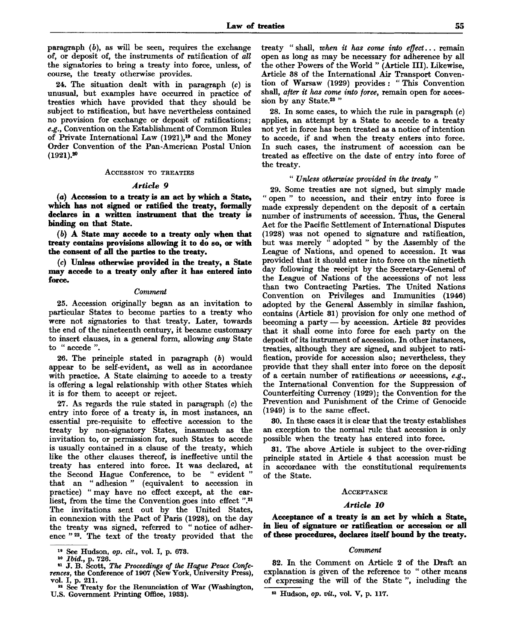paragraph  $(b)$ , as will be seen, requires the exchange of, or deposit of, the instruments of ratification of *all* the signatories to bring a treaty into force, unless, of course, the treaty otherwise provides.

24. The situation dealt with in paragraph (c) is unusual, but examples have occurred in practice of treaties which have provided that they should be subject to ratification, but have nevertheless contained no provision for exchange or deposit of ratifications; *e.g.,* Convention on the Establishment of Common Rules of Private International Law (1921),<sup>19</sup> and the Money Order Convention of the Pan-American Postal Union  $(1921).<sup>20</sup>$ 

#### ACCESSION TO TREATIES

### *Article 9*

**(a) Accession to a treaty is an act by which a State, which has not signed or ratified the treaty, formally declares in a written instrument that the treaty is binding on that State.**

**(6) A State may accede to a treaty only when that treaty contains provisions allowing it to do so, or with the consent of all the parties to the treaty.**

**(c) Unless otherwise provided in the treaty, a State may accede to a treaty only after it has entered into force.**

## *Comment*

25. Accession originally began as an invitation to particular States to become parties to a treaty who were not signatories to that treaty. Later, towards the end of the nineteenth century, it became customary to insert clauses, in a general form, allowing *any* State to " accede ".

26. The principle stated in paragraph *(b)* would appear to be self-evident, as well as in accordance with practice. A State claiming to accede to a treaty is offering a legal relationship with other States which it is for them to accept or reject.

27. As regards the rule stated in paragraph *(c)* the entry into force of a treaty is, in most instances, an essential pre-requisite to effective accession to the treaty by non-signatory States, inasmuch as the invitation to, or permission for, such States to accede is usually contained in a clause of the treaty, which like the other clauses thereof, is ineffective until the treaty has entered into force. It was declared, at the Second Hague Conference, to be " evident " that an " adhesion " (equivalent to accession in practice) " may have no effect except, at the earliest, from the time the Convention goes into effect ".<sup>21</sup> The invitations sent out by the United States, in connexion with the Pact of Paris (1928), on the day the treaty was signed, referred to " notice of adherence "22. The text of the treaty provided that the

treaty " shall, *when it has come into effect*.. . remain open as long as may be necessary for adherence by all the other Powers of the World " (Article III). Likewise, Article 38 of the International Air Transport Convention of Warsaw (1929) provides : " This Convention shall, *after it has come into force,* remain open for accession by any State.<sup>23</sup>"

28. In some cases, to which the rule in paragraph (c) applies, an attempt by a State to accede to a treaty not yet in force has been treated as a notice of intention to accede, if and when the treaty enters into force. In such cases, the instrument of accession can be treated as effective on the date of entry into force of the treaty.

# " *Unless otherwise provided in the treaty "*

29. Some treaties are not signed, but simply made " open " to accession, and their entry into force is made expressly dependent on the deposit of a certain number of instruments of accession. Thus, the General Act for the Pacific Settlement of International Disputes (1928) was not opened to signature and ratification, but was merely " adopted " by the Assembly of the League of Nations, and opened to accession. It was provided that it should enter into force on the ninetieth day following the receipt by the Secretary-General of the League of Nations of the accessions of not less than two Contracting Parties. The United Nations Convention on Privileges and Immunities (1946) adopted by the General Assembly in similar fashion, contains (Article 31) provision for only one method of becoming a party — by accession. Article 32 provides that it shall come into force for each party on the deposit of its instrument of accession. In other instances, treaties, although they are signed, and subject to ratification, provide for accession also; nevertheless, they provide that they shall enter into force on the deposit of a certain number of ratifications *or* accessions, *e.g.,* the International Convention for the Suppression of Counterfeiting Currency (1929); the Convention for the Prevention and Punishment of the Crime of Genocide (1949) is to the same effect.

30. In these cases it is clear that the treaty establishes an exception to the normal rule that accession is only possible when the treaty has entered into force.

31. The above Article is subject to the over-riding principle stated in Article 4 that accession must be in accordance with the constitutional requirements of the State.

#### ACCEPTANCE

## *Article 10*

**Acceptance of a treaty is an act by which a State, in lieu of signature or ratification or accession or all of these procedures, declares itself bound by the treaty.**

## *Comment*

32. In the Comment on Article 2 of the Draft an explanation is given of the reference to " other means of expressing the will of the State ", including the

23 Hudson, *op. vit.,* vol. V, p. 117.

<sup>19</sup> See Hudson, *op. cit,* vol. I, p. 673.

<sup>20</sup>  *Ibid.,* p. 726. 81 J. B. Scott, *The Proceedings of the Hague Peace Conferences,* the Conference of 1907 (New York, University Press),  $vol. I, p. 211.$ 

See Treaty for the Renunciation of War (Washington, U.S. Government Printing Office, 1933).